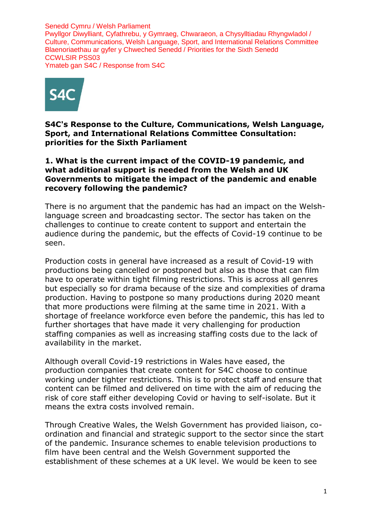Senedd Cymru / Welsh Parliament Pwyllgor Diwylliant, Cyfathrebu, y Gymraeg, Chwaraeon, a Chysylltiadau Rhyngwladol / Culture, Communications, Welsh Language, Sport, and International Relations Committee Blaenoriaethau ar gyfer y Chweched Senedd / Priorities for the Sixth Senedd CCWLSIR PSS03 Ymateb gan S4C / Response from S4C



**S4C's Response to the Culture, Communications, Welsh Language, Sport, and International Relations Committee Consultation: priorities for the Sixth Parliament**

## **1. What is the current impact of the COVID-19 pandemic, and what additional support is needed from the Welsh and UK Governments to mitigate the impact of the pandemic and enable recovery following the pandemic?**

There is no argument that the pandemic has had an impact on the Welshlanguage screen and broadcasting sector. The sector has taken on the challenges to continue to create content to support and entertain the audience during the pandemic, but the effects of Covid-19 continue to be seen.

Production costs in general have increased as a result of Covid-19 with productions being cancelled or postponed but also as those that can film have to operate within tight filming restrictions. This is across all genres but especially so for drama because of the size and complexities of drama production. Having to postpone so many productions during 2020 meant that more productions were filming at the same time in 2021. With a shortage of freelance workforce even before the pandemic, this has led to further shortages that have made it very challenging for production staffing companies as well as increasing staffing costs due to the lack of availability in the market.

Although overall Covid-19 restrictions in Wales have eased, the production companies that create content for S4C choose to continue working under tighter restrictions. This is to protect staff and ensure that content can be filmed and delivered on time with the aim of reducing the risk of core staff either developing Covid or having to self-isolate. But it means the extra costs involved remain.

Through Creative Wales, the Welsh Government has provided liaison, coordination and financial and strategic support to the sector since the start of the pandemic. Insurance schemes to enable television productions to film have been central and the Welsh Government supported the establishment of these schemes at a UK level. We would be keen to see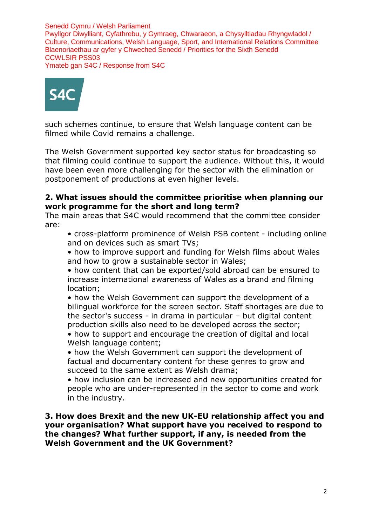Senedd Cymru / Welsh Parliament Pwyllgor Diwylliant, Cyfathrebu, y Gymraeg, Chwaraeon, a Chysylltiadau Rhyngwladol / Culture, Communications, Welsh Language, Sport, and International Relations Committee Blaenoriaethau ar gyfer y Chweched Senedd / Priorities for the Sixth Senedd CCWLSIR PSS03 Ymateb gan S4C / Response from S4C



such schemes continue, to ensure that Welsh language content can be filmed while Covid remains a challenge.

The Welsh Government supported key sector status for broadcasting so that filming could continue to support the audience. Without this, it would have been even more challenging for the sector with the elimination or postponement of productions at even higher levels.

## **2. What issues should the committee prioritise when planning our work programme for the short and long term?**

The main areas that S4C would recommend that the committee consider are:

• cross-platform prominence of Welsh PSB content - including online and on devices such as smart TVs;

• how to improve support and funding for Welsh films about Wales and how to grow a sustainable sector in Wales;

• how content that can be exported/sold abroad can be ensured to increase international awareness of Wales as a brand and filming location;

• how the Welsh Government can support the development of a bilingual workforce for the screen sector. Staff shortages are due to the sector's success - in drama in particular – but digital content production skills also need to be developed across the sector;

• how to support and encourage the creation of digital and local Welsh language content;

• how the Welsh Government can support the development of factual and documentary content for these genres to grow and succeed to the same extent as Welsh drama;

• how inclusion can be increased and new opportunities created for people who are under-represented in the sector to come and work in the industry.

**3. How does Brexit and the new UK-EU relationship affect you and your organisation? What support have you received to respond to the changes? What further support, if any, is needed from the Welsh Government and the UK Government?**